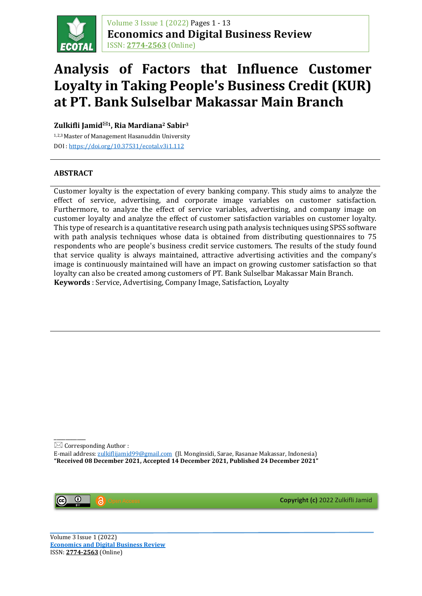

Volume 3 Issue 1 (2022) Pages 1 - 13 **Economics and Digital Business Review** ISSN: **[2774-2563](http://u.lipi.go.id/1608209226)** (Online)

# **Analysis of Factors that Influence Customer Loyalty in Taking People's Business Credit (KUR) at PT. Bank Sulselbar Makassar Main Branch**

**Zulkifli Jamid1, Ria Mardiana2 Sabir3**

1,2,3 Master of Management Hasanuddin University DOI [: https://doi.org/10.37531/ecotal.v3i1.112](https://doi.org/10.37531/ecotal.v3i1.112)

### **ABSTRACT**

Customer loyalty is the expectation of every banking company. This study aims to analyze the effect of service, advertising, and corporate image variables on customer satisfaction. Furthermore, to analyze the effect of service variables, advertising, and company image on customer loyalty and analyze the effect of customer satisfaction variables on customer loyalty. This type of research is a quantitative research using path analysis techniques using SPSS software with path analysis techniques whose data is obtained from distributing questionnaires to 75 respondents who are people's business credit service customers. The results of the study found that service quality is always maintained, attractive advertising activities and the company's image is continuously maintained will have an impact on growing customer satisfaction so that loyalty can also be created among customers of PT. Bank Sulselbar Makassar Main Branch. **Keywords** : Service, Advertising, Company Image, Satisfaction, Loyalty

\_\_\_\_\_\_\_\_\_\_\_  $\boxtimes$  Corresponding Author :

E-mail address: [zulkiflijamid99@gmail.com](mailto:zulkiflijamid99@gmail.com) (Jl. Monginsidi, Sarae, Rasanae Makassar, Indonesia) **"Received 08 December 2021, Accepted 14 December 2021, Published 24 December 2021"**



**Copyright (c)** 2022 Zulkifli Jamid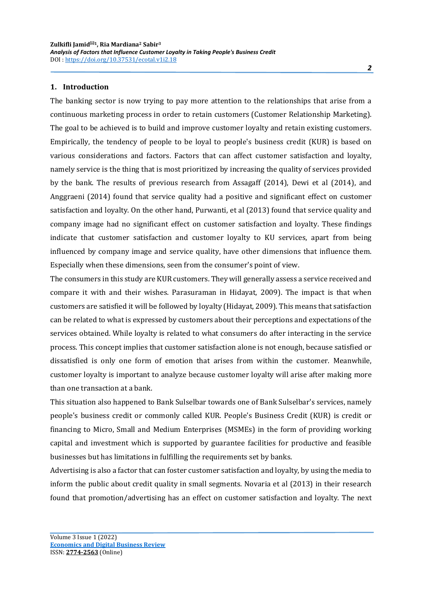#### **1. Introduction**

The banking sector is now trying to pay more attention to the relationships that arise from a continuous marketing process in order to retain customers (Customer Relationship Marketing). The goal to be achieved is to build and improve customer loyalty and retain existing customers. Empirically, the tendency of people to be loyal to people's business credit (KUR) is based on various considerations and factors. Factors that can affect customer satisfaction and loyalty, namely service is the thing that is most prioritized by increasing the quality of services provided by the bank. The results of previous research from Assagaff (2014), Dewi et al (2014), and Anggraeni (2014) found that service quality had a positive and significant effect on customer satisfaction and loyalty. On the other hand, Purwanti, et al (2013) found that service quality and company image had no significant effect on customer satisfaction and loyalty. These findings indicate that customer satisfaction and customer loyalty to KU services, apart from being influenced by company image and service quality, have other dimensions that influence them. Especially when these dimensions, seen from the consumer's point of view.

The consumers in this study are KUR customers. They will generally assess a service received and compare it with and their wishes. Parasuraman in Hidayat, 2009). The impact is that when customers are satisfied it will be followed by loyalty (Hidayat, 2009). This means that satisfaction can be related to what is expressed by customers about their perceptions and expectations of the services obtained. While loyalty is related to what consumers do after interacting in the service process. This concept implies that customer satisfaction alone is not enough, because satisfied or dissatisfied is only one form of emotion that arises from within the customer. Meanwhile, customer loyalty is important to analyze because customer loyalty will arise after making more than one transaction at a bank.

This situation also happened to Bank Sulselbar towards one of Bank Sulselbar's services, namely people's business credit or commonly called KUR. People's Business Credit (KUR) is credit or financing to Micro, Small and Medium Enterprises (MSMEs) in the form of providing working capital and investment which is supported by guarantee facilities for productive and feasible businesses but has limitations in fulfilling the requirements set by banks.

Advertising is also a factor that can foster customer satisfaction and loyalty, by using the media to inform the public about credit quality in small segments. Novaria et al (2013) in their research found that promotion/advertising has an effect on customer satisfaction and loyalty. The next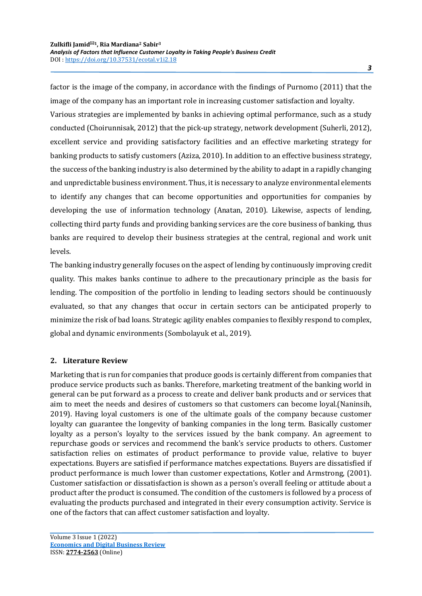factor is the image of the company, in accordance with the findings of Purnomo (2011) that the image of the company has an important role in increasing customer satisfaction and loyalty.

Various strategies are implemented by banks in achieving optimal performance, such as a study conducted (Choirunnisak, 2012) that the pick-up strategy, network development (Suherli, 2012), excellent service and providing satisfactory facilities and an effective marketing strategy for banking products to satisfy customers (Aziza, 2010). In addition to an effective business strategy, the success of the banking industry is also determined by the ability to adapt in a rapidly changing and unpredictable business environment. Thus, it is necessary to analyze environmental elements to identify any changes that can become opportunities and opportunities for companies by developing the use of information technology (Anatan, 2010). Likewise, aspects of lending, collecting third party funds and providing banking services are the core business of banking, thus banks are required to develop their business strategies at the central, regional and work unit levels.

The banking industry generally focuses on the aspect of lending by continuously improving credit quality. This makes banks continue to adhere to the precautionary principle as the basis for lending. The composition of the portfolio in lending to leading sectors should be continuously evaluated, so that any changes that occur in certain sectors can be anticipated properly to minimize the risk of bad loans. Strategic agility enables companies to flexibly respond to complex, global and dynamic environments (Sombolayuk et al., 2019).

## **2. Literature Review**

Marketing that is run for companies that produce goods is certainly different from companies that produce service products such as banks. Therefore, marketing treatment of the banking world in general can be put forward as a process to create and deliver bank products and or services that aim to meet the needs and desires of customers so that customers can become loyal.(Naninsih, 2019). Having loyal customers is one of the ultimate goals of the company because customer loyalty can guarantee the longevity of banking companies in the long term. Basically customer loyalty as a person's loyalty to the services issued by the bank company. An agreement to repurchase goods or services and recommend the bank's service products to others. Customer satisfaction relies on estimates of product performance to provide value, relative to buyer expectations. Buyers are satisfied if performance matches expectations. Buyers are dissatisfied if product performance is much lower than customer expectations, Kotler and Armstrong, (2001). Customer satisfaction or dissatisfaction is shown as a person's overall feeling or attitude about a product after the product is consumed. The condition of the customers is followed by a process of evaluating the products purchased and integrated in their every consumption activity. Service is one of the factors that can affect customer satisfaction and loyalty.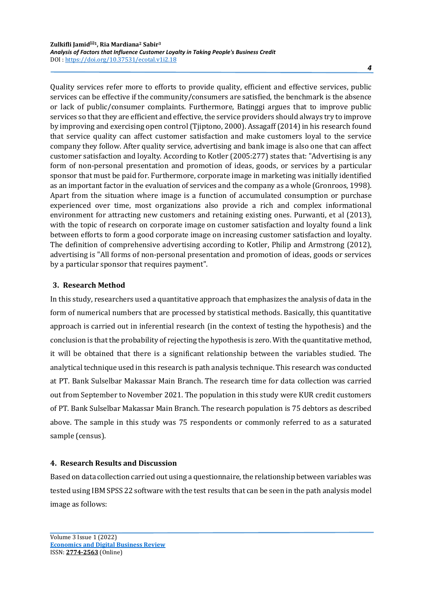Quality services refer more to efforts to provide quality, efficient and effective services, public services can be effective if the community/consumers are satisfied, the benchmark is the absence or lack of public/consumer complaints. Furthermore, Batinggi argues that to improve public services so that they are efficient and effective, the service providers should always try to improve by improving and exercising open control (Tjiptono, 2000). Assagaff (2014) in his research found that service quality can affect customer satisfaction and make customers loyal to the service company they follow. After quality service, advertising and bank image is also one that can affect customer satisfaction and loyalty. According to Kotler (2005:277) states that: "Advertising is any form of non-personal presentation and promotion of ideas, goods, or services by a particular sponsor that must be paid for. Furthermore, corporate image in marketing was initially identified as an important factor in the evaluation of services and the company as a whole (Gronroos, 1998). Apart from the situation where image is a function of accumulated consumption or purchase experienced over time, most organizations also provide a rich and complex informational environment for attracting new customers and retaining existing ones. Purwanti, et al (2013), with the topic of research on corporate image on customer satisfaction and loyalty found a link between efforts to form a good corporate image on increasing customer satisfaction and loyalty. The definition of comprehensive advertising according to Kotler, Philip and Armstrong (2012), advertising is "All forms of non-personal presentation and promotion of ideas, goods or services by a particular sponsor that requires payment".

# **3. Research Method**

In this study, researchers used a quantitative approach that emphasizes the analysis of data in the form of numerical numbers that are processed by statistical methods. Basically, this quantitative approach is carried out in inferential research (in the context of testing the hypothesis) and the conclusion is that the probability of rejecting the hypothesis is zero. With the quantitative method, it will be obtained that there is a significant relationship between the variables studied. The analytical technique used in this research is path analysis technique. This research was conducted at PT. Bank Sulselbar Makassar Main Branch. The research time for data collection was carried out from September to November 2021. The population in this study were KUR credit customers of PT. Bank Sulselbar Makassar Main Branch. The research population is 75 debtors as described above. The sample in this study was 75 respondents or commonly referred to as a saturated sample (census).

## **4. Research Results and Discussion**

Based on data collection carried out using a questionnaire, the relationship between variables was tested using IBM SPSS 22 software with the test results that can be seen in the path analysis model image as follows: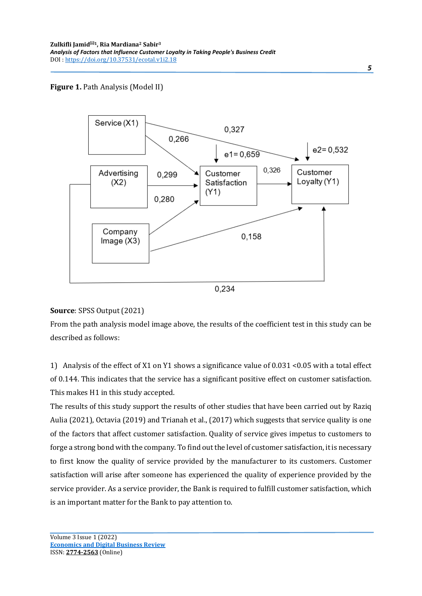## **Figure 1.** Path Analysis (Model II)



#### **Source**: SPSS Output (2021)

From the path analysis model image above, the results of the coefficient test in this study can be described as follows:

1) Analysis of the effect of X1 on Y1 shows a significance value of 0.031 <0.05 with a total effect of 0.144. This indicates that the service has a significant positive effect on customer satisfaction. This makes H1 in this study accepted.

The results of this study support the results of other studies that have been carried out by Raziq Aulia (2021), Octavia (2019) and Trianah et al., (2017) which suggests that service quality is one of the factors that affect customer satisfaction. Quality of service gives impetus to customers to forge a strong bond with the company. To find out the level of customer satisfaction, it is necessary to first know the quality of service provided by the manufacturer to its customers. Customer satisfaction will arise after someone has experienced the quality of experience provided by the service provider. As a service provider, the Bank is required to fulfill customer satisfaction, which is an important matter for the Bank to pay attention to.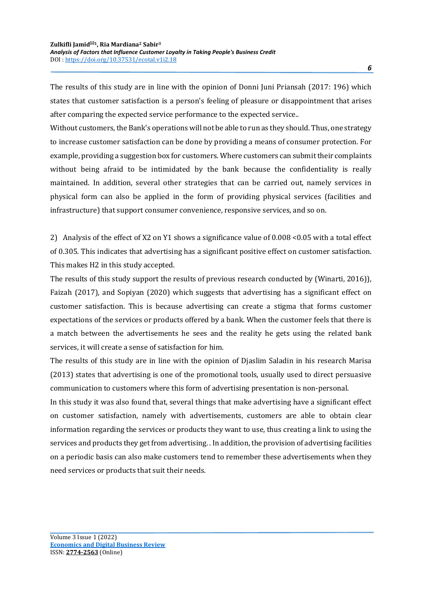The results of this study are in line with the opinion of Donni Juni Priansah (2017: 196) which states that customer satisfaction is a person's feeling of pleasure or disappointment that arises after comparing the expected service performance to the expected service..

Without customers, the Bank's operations will not be able to run as they should. Thus, one strategy to increase customer satisfaction can be done by providing a means of consumer protection. For example, providing a suggestion box for customers. Where customers can submit their complaints without being afraid to be intimidated by the bank because the confidentiality is really maintained. In addition, several other strategies that can be carried out, namely services in physical form can also be applied in the form of providing physical services (facilities and infrastructure) that support consumer convenience, responsive services, and so on.

2) Analysis of the effect of X2 on Y1 shows a significance value of 0.008 <0.05 with a total effect of 0.305. This indicates that advertising has a significant positive effect on customer satisfaction. This makes H2 in this study accepted.

The results of this study support the results of previous research conducted by (Winarti, 2016)), Faizah (2017), and Sopiyan (2020) which suggests that advertising has a significant effect on customer satisfaction. This is because advertising can create a stigma that forms customer expectations of the services or products offered by a bank. When the customer feels that there is a match between the advertisements he sees and the reality he gets using the related bank services, it will create a sense of satisfaction for him.

The results of this study are in line with the opinion of Djaslim Saladin in his research Marisa (2013) states that advertising is one of the promotional tools, usually used to direct persuasive communication to customers where this form of advertising presentation is non-personal.

In this study it was also found that, several things that make advertising have a significant effect on customer satisfaction, namely with advertisements, customers are able to obtain clear information regarding the services or products they want to use, thus creating a link to using the services and products they get from advertising. . In addition, the provision of advertising facilities on a periodic basis can also make customers tend to remember these advertisements when they need services or products that suit their needs.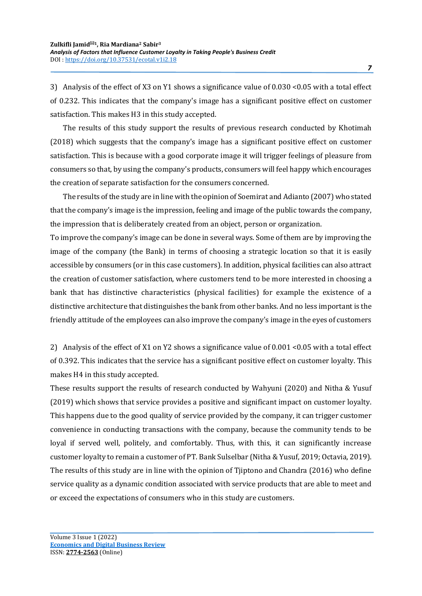3) Analysis of the effect of X3 on Y1 shows a significance value of 0.030 <0.05 with a total effect of 0.232. This indicates that the company's image has a significant positive effect on customer satisfaction. This makes H3 in this study accepted.

The results of this study support the results of previous research conducted by Khotimah (2018) which suggests that the company's image has a significant positive effect on customer satisfaction. This is because with a good corporate image it will trigger feelings of pleasure from consumers so that, by using the company's products, consumers will feel happy which encourages the creation of separate satisfaction for the consumers concerned.

The results of the study are in line with the opinion of Soemirat and Adianto (2007) who stated that the company's image is the impression, feeling and image of the public towards the company, the impression that is deliberately created from an object, person or organization.

To improve the company's image can be done in several ways. Some of them are by improving the image of the company (the Bank) in terms of choosing a strategic location so that it is easily accessible by consumers (or in this case customers). In addition, physical facilities can also attract the creation of customer satisfaction, where customers tend to be more interested in choosing a bank that has distinctive characteristics (physical facilities) for example the existence of a distinctive architecture that distinguishes the bank from other banks. And no less important is the friendly attitude of the employees can also improve the company's image in the eyes of customers

2) Analysis of the effect of X1 on Y2 shows a significance value of 0.001 <0.05 with a total effect of 0.392. This indicates that the service has a significant positive effect on customer loyalty. This makes H4 in this study accepted.

These results support the results of research conducted by Wahyuni (2020) and Nitha & Yusuf (2019) which shows that service provides a positive and significant impact on customer loyalty. This happens due to the good quality of service provided by the company, it can trigger customer convenience in conducting transactions with the company, because the community tends to be loyal if served well, politely, and comfortably. Thus, with this, it can significantly increase customer loyalty to remain a customer of PT. Bank Sulselbar (Nitha & Yusuf, 2019; Octavia, 2019). The results of this study are in line with the opinion of Tjiptono and Chandra (2016) who define service quality as a dynamic condition associated with service products that are able to meet and or exceed the expectations of consumers who in this study are customers.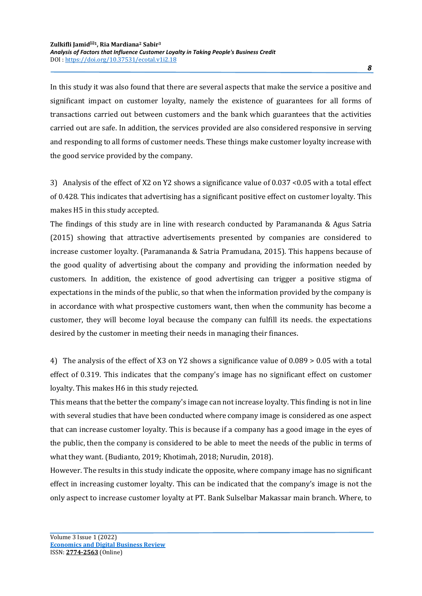In this study it was also found that there are several aspects that make the service a positive and significant impact on customer loyalty, namely the existence of guarantees for all forms of transactions carried out between customers and the bank which guarantees that the activities carried out are safe. In addition, the services provided are also considered responsive in serving and responding to all forms of customer needs. These things make customer loyalty increase with the good service provided by the company.

3) Analysis of the effect of X2 on Y2 shows a significance value of 0.037 <0.05 with a total effect of 0.428. This indicates that advertising has a significant positive effect on customer loyalty. This makes H5 in this study accepted.

The findings of this study are in line with research conducted by Paramananda & Agus Satria (2015) showing that attractive advertisements presented by companies are considered to increase customer loyalty. (Paramananda & Satria Pramudana, 2015). This happens because of the good quality of advertising about the company and providing the information needed by customers. In addition, the existence of good advertising can trigger a positive stigma of expectations in the minds of the public, so that when the information provided by the company is in accordance with what prospective customers want, then when the community has become a customer, they will become loyal because the company can fulfill its needs. the expectations desired by the customer in meeting their needs in managing their finances.

4) The analysis of the effect of X3 on Y2 shows a significance value of 0.089 > 0.05 with a total effect of 0.319. This indicates that the company's image has no significant effect on customer loyalty. This makes H6 in this study rejected.

This means that the better the company's image can not increase loyalty. This finding is not in line with several studies that have been conducted where company image is considered as one aspect that can increase customer loyalty. This is because if a company has a good image in the eyes of the public, then the company is considered to be able to meet the needs of the public in terms of what they want. (Budianto, 2019; Khotimah, 2018; Nurudin, 2018).

However. The results in this study indicate the opposite, where company image has no significant effect in increasing customer loyalty. This can be indicated that the company's image is not the only aspect to increase customer loyalty at PT. Bank Sulselbar Makassar main branch. Where, to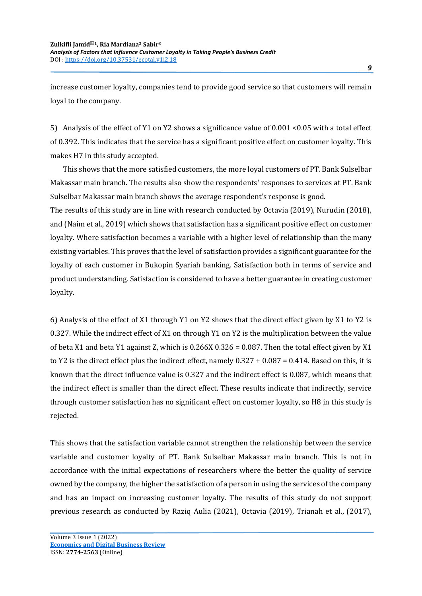increase customer loyalty, companies tend to provide good service so that customers will remain loyal to the company.

5) Analysis of the effect of Y1 on Y2 shows a significance value of 0.001 <0.05 with a total effect of 0.392. This indicates that the service has a significant positive effect on customer loyalty. This makes H7 in this study accepted.

This shows that the more satisfied customers, the more loyal customers of PT. Bank Sulselbar Makassar main branch. The results also show the respondents' responses to services at PT. Bank Sulselbar Makassar main branch shows the average respondent's response is good.

The results of this study are in line with research conducted by Octavia (2019), Nurudin (2018), and (Naim et al., 2019) which shows that satisfaction has a significant positive effect on customer loyalty. Where satisfaction becomes a variable with a higher level of relationship than the many existing variables. This proves that the level of satisfaction provides a significant guarantee for the loyalty of each customer in Bukopin Syariah banking. Satisfaction both in terms of service and product understanding. Satisfaction is considered to have a better guarantee in creating customer loyalty.

6) Analysis of the effect of X1 through Y1 on Y2 shows that the direct effect given by X1 to Y2 is 0.327. While the indirect effect of X1 on through Y1 on Y2 is the multiplication between the value of beta X1 and beta Y1 against Z, which is 0.266X 0.326 = 0.087. Then the total effect given by X1 to Y2 is the direct effect plus the indirect effect, namely 0.327 + 0.087 = 0.414. Based on this, it is known that the direct influence value is 0.327 and the indirect effect is 0.087, which means that the indirect effect is smaller than the direct effect. These results indicate that indirectly, service through customer satisfaction has no significant effect on customer loyalty, so H8 in this study is rejected.

This shows that the satisfaction variable cannot strengthen the relationship between the service variable and customer loyalty of PT. Bank Sulselbar Makassar main branch. This is not in accordance with the initial expectations of researchers where the better the quality of service owned by the company, the higher the satisfaction of a person in using the services of the company and has an impact on increasing customer loyalty. The results of this study do not support previous research as conducted by Raziq Aulia (2021), Octavia (2019), Trianah et al., (2017),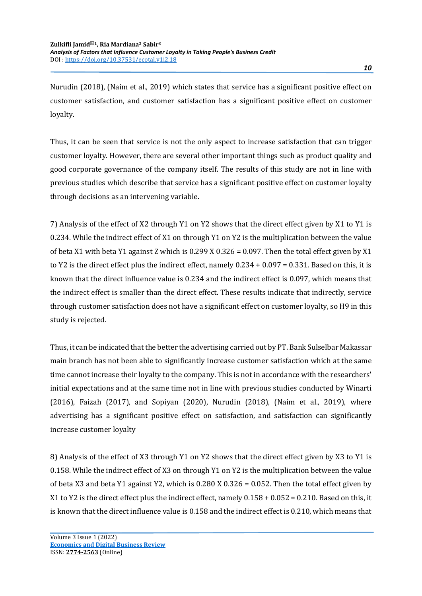Nurudin (2018), (Naim et al., 2019) which states that service has a significant positive effect on customer satisfaction, and customer satisfaction has a significant positive effect on customer loyalty.

Thus, it can be seen that service is not the only aspect to increase satisfaction that can trigger customer loyalty. However, there are several other important things such as product quality and good corporate governance of the company itself. The results of this study are not in line with previous studies which describe that service has a significant positive effect on customer loyalty through decisions as an intervening variable.

7) Analysis of the effect of X2 through Y1 on Y2 shows that the direct effect given by X1 to Y1 is 0.234. While the indirect effect of X1 on through Y1 on Y2 is the multiplication between the value of beta X1 with beta Y1 against Z which is 0.299 X 0.326 = 0.097. Then the total effect given by X1 to Y2 is the direct effect plus the indirect effect, namely 0.234 + 0.097 = 0.331. Based on this, it is known that the direct influence value is 0.234 and the indirect effect is 0.097, which means that the indirect effect is smaller than the direct effect. These results indicate that indirectly, service through customer satisfaction does not have a significant effect on customer loyalty, so H9 in this study is rejected.

Thus, it can be indicated that the better the advertising carried out by PT. Bank Sulselbar Makassar main branch has not been able to significantly increase customer satisfaction which at the same time cannot increase their loyalty to the company. This is not in accordance with the researchers' initial expectations and at the same time not in line with previous studies conducted by Winarti (2016), Faizah (2017), and Sopiyan (2020), Nurudin (2018), (Naim et al., 2019), where advertising has a significant positive effect on satisfaction, and satisfaction can significantly increase customer loyalty

8) Analysis of the effect of X3 through Y1 on Y2 shows that the direct effect given by X3 to Y1 is 0.158. While the indirect effect of X3 on through Y1 on Y2 is the multiplication between the value of beta X3 and beta Y1 against Y2, which is 0.280 X 0.326 = 0.052. Then the total effect given by X1 to Y2 is the direct effect plus the indirect effect, namely 0.158 + 0.052 = 0.210. Based on this, it is known that the direct influence value is 0.158 and the indirect effect is 0.210, which means that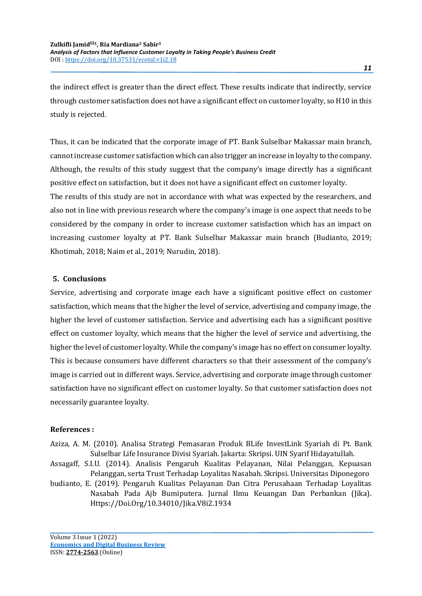the indirect effect is greater than the direct effect. These results indicate that indirectly, service through customer satisfaction does not have a significant effect on customer loyalty, so H10 in this study is rejected.

Thus, it can be indicated that the corporate image of PT. Bank Sulselbar Makassar main branch, cannot increase customer satisfaction which can also trigger an increase in loyalty to the company. Although, the results of this study suggest that the company's image directly has a significant positive effect on satisfaction, but it does not have a significant effect on customer loyalty.

The results of this study are not in accordance with what was expected by the researchers, and also not in line with previous research where the company's image is one aspect that needs to be considered by the company in order to increase customer satisfaction which has an impact on increasing customer loyalty at PT. Bank Sulselbar Makassar main branch (Budianto, 2019; Khotimah, 2018; Naim et al., 2019; Nurudin, 2018).

### **5. Conclusions**

Service, advertising and corporate image each have a significant positive effect on customer satisfaction, which means that the higher the level of service, advertising and company image, the higher the level of customer satisfaction. Service and advertising each has a significant positive effect on customer loyalty, which means that the higher the level of service and advertising, the higher the level of customer loyalty. While the company's image has no effect on consumer loyalty. This is because consumers have different characters so that their assessment of the company's image is carried out in different ways. Service, advertising and corporate image through customer satisfaction have no significant effect on customer loyalty. So that customer satisfaction does not necessarily guarantee loyalty.

#### **References :**

- Aziza, A. M. (2010). Analisa Strategi Pemasaran Produk BLife InvestLink Syariah di Pt. Bank Sulselbar Life Insurance Divisi Syariah. Jakarta: Skripsi. UIN Syarif Hidayatullah.
- Assagaff, S.I.U. (2014). Analisis Pengaruh Kualitas Pelayanan, Nilai Pelanggan, Kepuasan Pelanggan, serta Trust Terhadap Loyalitas Nasabah. Skripsi. Universitas Diponegoro
- budianto, E. (2019). Pengaruh Kualitas Pelayanan Dan Citra Perusahaan Terhadap Loyalitas Nasabah Pada Ajb Bumiputera. Jurnal Ilmu Keuangan Dan Perbankan (Jika). Https://Doi.Org/10.34010/Jika.V8i2.1934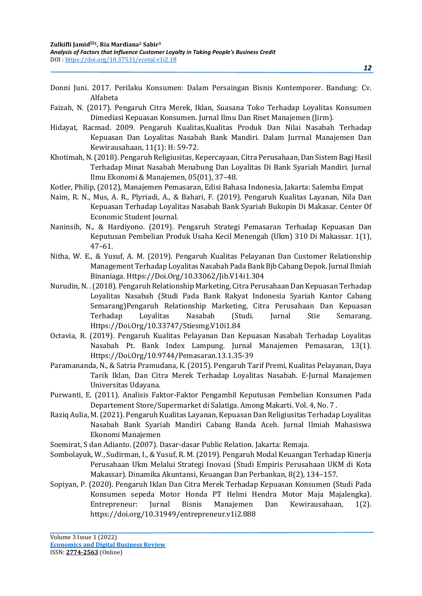- Donni Juni. 2017. Perilaku Konsumen: Dalam Persaingan Bisnis Kontemporer. Bandung: Cv. Alfabeta
- Faizah, N. (2017). Pengaruh Citra Merek, Iklan, Suasana Toko Terhadap Loyalitas Konsumen Dimediasi Kepuasan Konsumen. Jurnal Ilmu Dan Riset Manajemen (Jirm).
- Hidayat, Racmad. 2009. Pengaruh Kualitas,Kualitas Produk Dan Nilai Nasabah Terhadap Kepuasan Dan Loyalitas Nasabah Bank Mandiri. Dalam Jurrnal Manajemen Dan Kewirausahaan, 11(1): H: 59-72.
- Khotimah, N. (2018). Pengaruh Religiusitas, Kepercayaan, Citra Perusahaan, Dan Sistem Bagi Hasil Terhadap Minat Nasabah Menabung Dan Loyalitas Di Bank Syariah Mandiri. Jurnal Ilmu Ekonomi & Manajemen, 05(01), 37–48.
- Kotler, Philip, (2012), Manajemen Pemasaran, Edisi Bahasa Indonesia, Jakarta: Salemba Empat
- Naim, R. N., Mus, A. R., Plyriadi, A., & Bahari, F. (2019). Pengaruh Kualitas Layanan, Nila Dan Kepuasan Terhadap Loyalitas Nasabah Bank Syariah Bukopin Di Makasar. Center Of Economic Student Journal.
- Naninsih, N., & Hardiyono. (2019). Pengaruh Strategi Pemasaran Terhadap Kepuasan Dan Keputusan Pembelian Produk Usaha Kecil Menengah (Ukm) 310 Di Makassar. 1(1), 47–61.
- Nitha, W. E., & Yusuf, A. M. (2019). Pengaruh Kualitas Pelayanan Dan Customer Relationship Management Terhadap Loyalitas Nasabah Pada Bank Bjb Cabang Depok. Jurnal Ilmiah Binaniaga. Https://Doi.Org/10.33062/Jib.V14i1.304
- Nurudin, N. . (2018). Pengaruh Relationship Marketing, Citra Perusahaan Dan Kepuasan Terhadap Loyalitas Nasabah (Studi Pada Bank Rakyat Indonesia Syariah Kantor Cabang Semarang)Pengaruh Relationship Marketing, Citra Perusahaan Dan Kepuasan<br>Terhadap Loyalitas Nasabah (Studi. Jurnal Stie Semarang. Terhadap Loyalitas Nasabah (Studi. Jurnal Stie Semarang. Https://Doi.Org/10.33747/Stiesmg.V10i1.84
- Octavia, R. (2019). Pengaruh Kualitas Pelayanan Dan Kepuasan Nasabah Terhadap Loyalitas Nasabah Pt. Bank Index Lampung. Jurnal Manajemen Pemasaran, 13(1). Https://Doi.Org/10.9744/Pemasaran.13.1.35-39
- Paramananda, N., & Satria Pramudana, K. (2015). Pengaruh Tarif Premi, Kualitas Pelayanan, Daya Tarik Iklan, Dan Citra Merek Terhadap Loyalitas Nasabah. E-Jurnal Manajemen Universitas Udayana.
- Purwanti, E. (2011). Analisis Faktor-Faktor Pengambil Keputusan Pembelian Konsumen Pada Departement Store/Supermarket di Salatiga. Among Makarti. Vol. 4, No. 7 .
- Raziq Aulia, M. (2021). Pengaruh Kualitas Layanan, Kepuasan Dan Religiusitas Terhadap Loyalitas Nasabah Bank Syariah Mandiri Cabang Banda Aceh. Jurnal Ilmiah Mahasiswa Ekonomi Manajemen
- Soemirat, S dan Adianto. (2007). Dasar-dasar Public Relation. Jakarta: Remaja.
- Sombolayuk, W., Sudirman, I., & Yusuf, R. M. (2019). Pengaruh Modal Keuangan Terhadap Kinerja Perusahaan Ukm Melalui Strategi Inovasi (Studi Empiris Perusahaan UKM di Kota Makassar). Dinamika Akuntansi, Keuangan Dan Perbankan, 8(2), 134–157.
- Sopiyan, P. (2020). Pengaruh Iklan Dan Citra Merek Terhadap Kepuasan Konsumen (Studi Pada Konsumen sepeda Motor Honda PT Helmi Hendra Motor Maja Majalengka). Entrepreneur: Jurnal Bisnis Manajemen Dan Kewirausahaan, 1(2). https://doi.org/10.31949/entrepreneur.v1i2.888